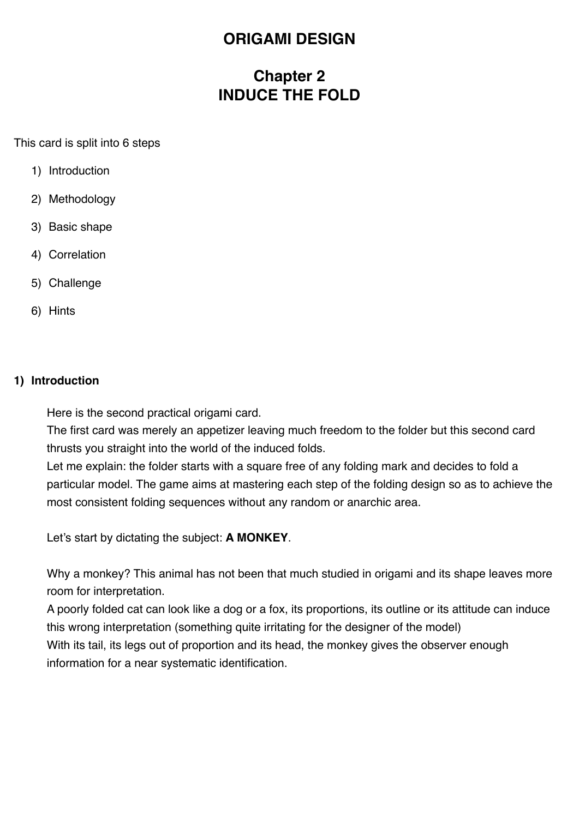# **ORIGAMI DESIGN**

# **Chapter 2 INDUCE THE FOLD**

This card is split into 6 steps

- 1) Introduction
- 2) Methodology
- 3) Basic shape
- 4) Correlation
- 5) Challenge
- 6) Hints

### **1) Introduction**

Here is the second practical origami card.

The first card was merely an appetizer leaving much freedom to the folder but this second card thrusts you straight into the world of the induced folds.

Let me explain: the folder starts with a square free of any folding mark and decides to fold a particular model. The game aims at mastering each step of the folding design so as to achieve the most consistent folding sequences without any random or anarchic area.

Let's start by dictating the subject: **A MONKEY**.

Why a monkey? This animal has not been that much studied in origami and its shape leaves more room for interpretation.

A poorly folded cat can look like a dog or a fox, its proportions, its outline or its attitude can induce this wrong interpretation (something quite irritating for the designer of the model) With its tail, its legs out of proportion and its head, the monkey gives the observer enough information for a near systematic identification.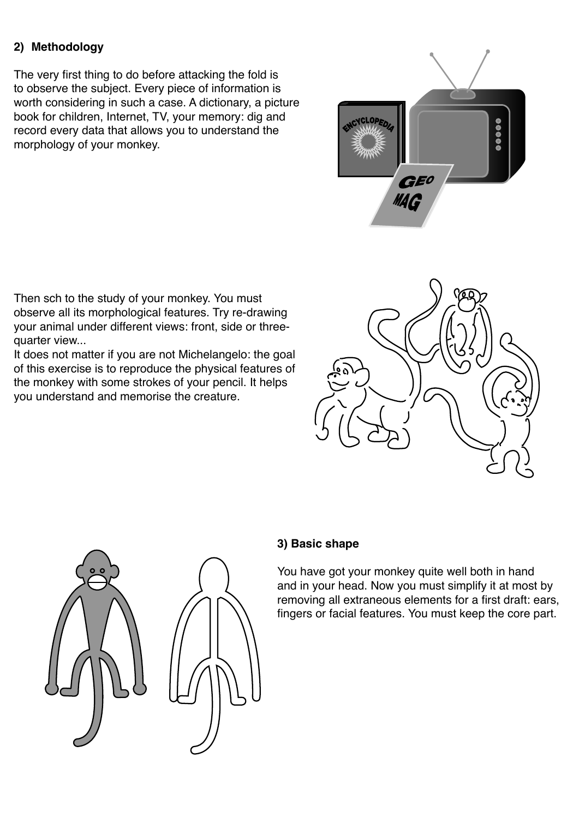## **2) Methodology**

The very first thing to do before attacking the fold is to observe the subject. Every piece of information is worth considering in such a case. A dictionary, a picture book for children, Internet, TV, your memory: dig and record every data that allows you to understand the morphology of your monkey.



Then sch to the study of your monkey. You must observe all its morphological features. Try re-drawing your animal under different views: front, side or threequarter view...

It does not matter if you are not Michelangelo: the goal of this exercise is to reproduce the physical features of the monkey with some strokes of your pencil. It helps you understand and memorise the creature.





## **3) Basic shape**

You have got your monkey quite well both in hand and in your head. Now you must simplify it at most by removing all extraneous elements for a first draft: ears, fingers or facial features. You must keep the core part.